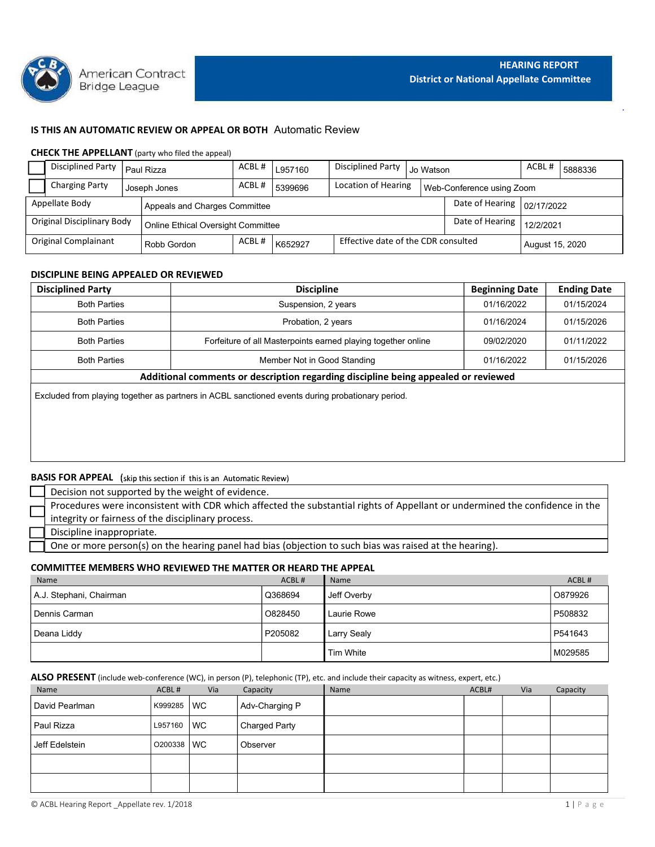

# IS THIS AN AUTOMATIC REVIEW OR APPEAL OR BOTH Automatic Review

## CHECK THE APPELLANT (party who filed the appeal)

| <b>HEARING REPORT</b><br>American Contract                                                                        |
|-------------------------------------------------------------------------------------------------------------------|
| <b>District or National Appellate Committee</b><br>Bridge League                                                  |
|                                                                                                                   |
| IS THIS AN AUTOMATIC REVIEW OR APPEAL OR BOTH Automatic Review                                                    |
| <b>CHECK THE APPELLANT</b> (party who filed the appeal)                                                           |
| Disciplined Party   Paul Rizza<br>ACBL#<br><b>Disciplined Party</b><br>ACBL#<br>L957160<br>Jo Watson<br>5888336   |
| ACBL#<br><b>Charging Party</b><br>Location of Hearing<br>5399696<br>Web-Conference using Zoom<br>Joseph Jones     |
| Date of Hearing<br>Appellate Body<br>Appeals and Charges Committee<br>02/17/2022                                  |
| <b>Original Disciplinary Body</b><br>Date of Hearing<br>12/2/2021<br>Online Ethical Oversight Committee           |
|                                                                                                                   |
| Effective date of the CDR consulted<br>Original Complainant<br>ACBL#<br>K652927<br>Robb Gordon<br>August 15, 2020 |
|                                                                                                                   |
| DISCIPLINE BEING APPEALED OR REVIEWED                                                                             |
| <b>Discipline</b><br><b>Ending Date</b><br><b>Beginning Date</b><br><b>Disciplined Party</b>                      |
| <b>Both Parties</b><br>Suspension, 2 years<br>01/16/2022<br>01/15/2024                                            |
| <b>Both Parties</b><br>Probation, 2 years<br>01/16/2024<br>01/15/2026                                             |
| <b>Both Parties</b><br>Forfeiture of all Masterpoints earned playing together online<br>09/02/2020<br>01/11/2022  |

# DISCIPLINE BEING APPEALED OR REVIEWED

|                             | Bridge League                     | American Contract |                                                                            |         |                             |                                                                                                                              |           | <b>District or National Appellate Committee</b> | <b>HEARING REPORT</b> |                    |  |
|-----------------------------|-----------------------------------|-------------------|----------------------------------------------------------------------------|---------|-----------------------------|------------------------------------------------------------------------------------------------------------------------------|-----------|-------------------------------------------------|-----------------------|--------------------|--|
|                             |                                   |                   | IS THIS AN AUTOMATIC REVIEW OR APPEAL OR BOTH Automatic Review             |         |                             |                                                                                                                              |           |                                                 |                       |                    |  |
|                             |                                   |                   | <b>CHECK THE APPELLANT</b> (party who filed the appeal)                    |         |                             |                                                                                                                              |           |                                                 |                       |                    |  |
|                             | <b>Disciplined Party</b>          | Paul Rizza        |                                                                            | ACBL#   | L957160                     | <b>Disciplined Party</b>                                                                                                     | Jo Watson |                                                 | ACBL#                 | 5888336            |  |
|                             | <b>Charging Party</b>             | Joseph Jones      |                                                                            | ACBL#   | 5399696                     | Location of Hearing                                                                                                          |           | Web-Conference using Zoom                       |                       |                    |  |
| Appellate Body              |                                   |                   | Appeals and Charges Committee                                              |         |                             |                                                                                                                              |           | Date of Hearing                                 | 02/17/2022            |                    |  |
|                             | <b>Original Disciplinary Body</b> |                   |                                                                            |         |                             |                                                                                                                              |           | Date of Hearing                                 |                       |                    |  |
| <b>Original Complainant</b> |                                   |                   | Online Ethical Oversight Committee<br>ACBL#                                |         |                             | Effective date of the CDR consulted                                                                                          |           |                                                 | 12/2/2021             |                    |  |
|                             |                                   |                   | Robb Gordon                                                                | K652927 |                             |                                                                                                                              |           |                                                 |                       | August 15, 2020    |  |
|                             |                                   |                   | DISCIPLINE BEING APPEALED OR REVIEWED                                      |         |                             |                                                                                                                              |           |                                                 |                       |                    |  |
| <b>Disciplined Party</b>    |                                   |                   |                                                                            |         | <b>Discipline</b>           |                                                                                                                              |           | <b>Beginning Date</b>                           |                       | <b>Ending Date</b> |  |
|                             | <b>Both Parties</b>               |                   |                                                                            |         | Suspension, 2 years         |                                                                                                                              |           | 01/16/2022                                      |                       | 01/15/2024         |  |
|                             | <b>Both Parties</b>               |                   |                                                                            |         | Probation, 2 years          |                                                                                                                              |           | 01/16/2024                                      |                       | 01/15/2026         |  |
|                             | <b>Both Parties</b>               |                   |                                                                            |         |                             | Forfeiture of all Masterpoints earned playing together online                                                                |           | 09/02/2020                                      |                       | 01/11/2022         |  |
|                             | <b>Both Parties</b>               |                   |                                                                            |         | Member Not in Good Standing |                                                                                                                              |           | 01/16/2022                                      |                       | 01/15/2026         |  |
|                             |                                   |                   |                                                                            |         |                             | Additional comments or description regarding discipline being appealed or reviewed                                           |           |                                                 |                       |                    |  |
|                             |                                   |                   |                                                                            |         |                             | Excluded from playing together as partners in ACBL sanctioned events during probationary period.                             |           |                                                 |                       |                    |  |
|                             |                                   |                   |                                                                            |         |                             |                                                                                                                              |           |                                                 |                       |                    |  |
|                             |                                   |                   |                                                                            |         |                             |                                                                                                                              |           |                                                 |                       |                    |  |
|                             |                                   |                   |                                                                            |         |                             |                                                                                                                              |           |                                                 |                       |                    |  |
|                             |                                   |                   |                                                                            |         |                             |                                                                                                                              |           |                                                 |                       |                    |  |
|                             |                                   |                   | <b>BASIS FOR APPEAL</b> (skip this section if this is an Automatic Review) |         |                             |                                                                                                                              |           |                                                 |                       |                    |  |
|                             |                                   |                   | Decision not supported by the weight of evidence.                          |         |                             |                                                                                                                              |           |                                                 |                       |                    |  |
|                             |                                   |                   |                                                                            |         |                             | Procedures were inconsistent with CDR which affected the substantial rights of Appellant or undermined the confidence in the |           |                                                 |                       |                    |  |
|                             |                                   |                   | integrity or fairness of the disciplinary process.                         |         |                             |                                                                                                                              |           |                                                 |                       |                    |  |
|                             | Discipline inappropriate.         |                   |                                                                            |         |                             |                                                                                                                              |           |                                                 |                       |                    |  |
|                             |                                   |                   |                                                                            |         |                             | One or more person(s) on the hearing panel had bias (objection to such bias was raised at the hearing).                      |           |                                                 |                       |                    |  |
|                             |                                   |                   | <b>COMMITTEE MEMBERS WHO REVIEWED THE MATTER OR HEARD THE APPEAL</b>       |         |                             |                                                                                                                              |           |                                                 |                       |                    |  |
| Name                        |                                   |                   |                                                                            |         | ACBL#                       | Name                                                                                                                         |           |                                                 |                       | ACBL#              |  |
|                             | A.J. Stephani, Chairman           |                   |                                                                            |         | Q368694                     | Jeff Overby                                                                                                                  |           |                                                 |                       | O879926            |  |
| Dennis Carman               |                                   |                   |                                                                            |         | O828450                     | Laurie Rowe                                                                                                                  |           |                                                 |                       | P508832            |  |
| Deana Liddy                 |                                   |                   |                                                                            |         | P205082                     | <b>Larry Sealy</b>                                                                                                           |           |                                                 |                       | P541643            |  |
|                             |                                   |                   |                                                                            |         |                             | Tim White                                                                                                                    |           |                                                 |                       | M029585            |  |
|                             |                                   |                   |                                                                            |         |                             |                                                                                                                              |           |                                                 |                       |                    |  |

# **BASIS FOR APPEAL** (skip this section if this is an Automatic Review)

| Decision not supported by the weight of evidence.                                                                            |
|------------------------------------------------------------------------------------------------------------------------------|
| Procedures were inconsistent with CDR which affected the substantial rights of Appellant or undermined the confidence in the |
| integrity or fairness of the disciplinary process.                                                                           |
| Discipline inappropriate.                                                                                                    |
| One or more person(s) on the hearing panel had bias (objection to such bias was raised at the hearing).                      |

#### COMMITTEE MEMBERS WHO REVIEWED THE MATTER OR HEARD THE APPEAL

| <b>Both Parties</b>                                                                              |         |      | Member Not in Good Standing |                                                                                                                                      | 01/16/2022 |     | 01/15/2026 |
|--------------------------------------------------------------------------------------------------|---------|------|-----------------------------|--------------------------------------------------------------------------------------------------------------------------------------|------------|-----|------------|
|                                                                                                  |         |      |                             | Additional comments or description regarding discipline being appealed or reviewed                                                   |            |     |            |
| Excluded from playing together as partners in ACBL sanctioned events during probationary period. |         |      |                             |                                                                                                                                      |            |     |            |
|                                                                                                  |         |      |                             |                                                                                                                                      |            |     |            |
|                                                                                                  |         |      |                             |                                                                                                                                      |            |     |            |
|                                                                                                  |         |      |                             |                                                                                                                                      |            |     |            |
|                                                                                                  |         |      |                             |                                                                                                                                      |            |     |            |
| <b>BASIS FOR APPEAL</b> (skip this section if this is an Automatic Review)                       |         |      |                             |                                                                                                                                      |            |     |            |
| Decision not supported by the weight of evidence.                                                |         |      |                             |                                                                                                                                      |            |     |            |
|                                                                                                  |         |      |                             | Procedures were inconsistent with CDR which affected the substantial rights of Appellant or undermined the confidence in the         |            |     |            |
| integrity or fairness of the disciplinary process.                                               |         |      |                             |                                                                                                                                      |            |     |            |
| Discipline inappropriate.                                                                        |         |      |                             |                                                                                                                                      |            |     |            |
|                                                                                                  |         |      |                             | One or more person(s) on the hearing panel had bias (objection to such bias was raised at the hearing).                              |            |     |            |
| <b>COMMITTEE MEMBERS WHO REVIEWED THE MATTER OR HEARD THE APPEAL</b>                             |         |      |                             |                                                                                                                                      |            |     |            |
| Name                                                                                             |         |      | ACBL#                       | Name                                                                                                                                 |            |     | ACBL#      |
| A.J. Stephani, Chairman                                                                          |         |      | Q368694                     | Jeff Overby                                                                                                                          |            |     | O879926    |
| Dennis Carman                                                                                    |         |      | O828450                     | Laurie Rowe                                                                                                                          |            |     | P508832    |
| Deana Liddy                                                                                      |         |      | P205082                     | Larry Sealy                                                                                                                          |            |     | P541643    |
|                                                                                                  |         |      |                             | Tim White                                                                                                                            |            |     | M029585    |
|                                                                                                  |         |      |                             |                                                                                                                                      |            |     |            |
|                                                                                                  |         |      |                             | ALSO PRESENT (include web-conference (WC), in person (P), telephonic (TP), etc. and include their capacity as witness, expert, etc.) |            |     |            |
| Name                                                                                             | ACBL#   | Via  | Capacity                    | Name                                                                                                                                 | ACBL#      | Via | Capacity   |
| David Pearlman                                                                                   | K999285 | l WC | Adv-Charging P              |                                                                                                                                      |            |     |            |
|                                                                                                  |         |      |                             |                                                                                                                                      |            |     |            |

### ALSO PRESENT (include web-conference (WC), in person (P), telephonic (TP), etc. and include their capacity as witness, expert, etc.)

| <b>BASIS FOR APPEAL</b> (skip this section if this is an Automatic Review)                                                                   |            |     |                      |                                                                                                                              |       |     |             |
|----------------------------------------------------------------------------------------------------------------------------------------------|------------|-----|----------------------|------------------------------------------------------------------------------------------------------------------------------|-------|-----|-------------|
| Decision not supported by the weight of evidence.                                                                                            |            |     |                      |                                                                                                                              |       |     |             |
| integrity or fairness of the disciplinary process.                                                                                           |            |     |                      | Procedures were inconsistent with CDR which affected the substantial rights of Appellant or undermined the confidence in the |       |     |             |
| Discipline inappropriate.                                                                                                                    |            |     |                      |                                                                                                                              |       |     |             |
|                                                                                                                                              |            |     |                      | One or more person(s) on the hearing panel had bias (objection to such bias was raised at the hearing).                      |       |     |             |
| <b>COMMITTEE MEMBERS WHO REVIEWED THE MATTER OR HEARD THE APPEAL</b>                                                                         |            |     |                      |                                                                                                                              |       |     |             |
| Name                                                                                                                                         |            |     | ACBL#                | Name                                                                                                                         |       |     | ACBL#       |
| A.J. Stephani, Chairman                                                                                                                      |            |     | Q368694              | Jeff Overby                                                                                                                  |       |     | O879926     |
| Dennis Carman                                                                                                                                |            |     | O828450              | Laurie Rowe                                                                                                                  |       |     | P508832     |
| Deana Liddy                                                                                                                                  |            |     | P205082              | Larry Sealy                                                                                                                  |       |     | P541643     |
|                                                                                                                                              |            |     |                      | Tim White                                                                                                                    |       |     | M029585     |
|                                                                                                                                              |            |     |                      |                                                                                                                              |       |     |             |
|                                                                                                                                              |            |     |                      |                                                                                                                              | ACBL# | Via | Capacity    |
| ALSO PRESENT (include web-conference (WC), in person (P), telephonic (TP), etc. and include their capacity as witness, expert, etc.)<br>Name | ACBL#      | Via | Capacity             | Name                                                                                                                         |       |     |             |
| David Pearlman                                                                                                                               | K999285 WC |     | Adv-Charging P       |                                                                                                                              |       |     |             |
| Paul Rizza                                                                                                                                   | L957160 WC |     | <b>Charged Party</b> |                                                                                                                              |       |     |             |
| Jeff Edelstein                                                                                                                               | O200338 WC |     | Observer             |                                                                                                                              |       |     |             |
|                                                                                                                                              |            |     |                      |                                                                                                                              |       |     |             |
|                                                                                                                                              |            |     |                      |                                                                                                                              |       |     |             |
|                                                                                                                                              |            |     |                      |                                                                                                                              |       |     |             |
| © ACBL Hearing Report _Appellate rev. 1/2018                                                                                                 |            |     |                      |                                                                                                                              |       |     | 1   P a g e |
|                                                                                                                                              |            |     |                      |                                                                                                                              |       |     |             |
|                                                                                                                                              |            |     |                      |                                                                                                                              |       |     |             |
|                                                                                                                                              |            |     |                      |                                                                                                                              |       |     |             |
|                                                                                                                                              |            |     |                      |                                                                                                                              |       |     |             |